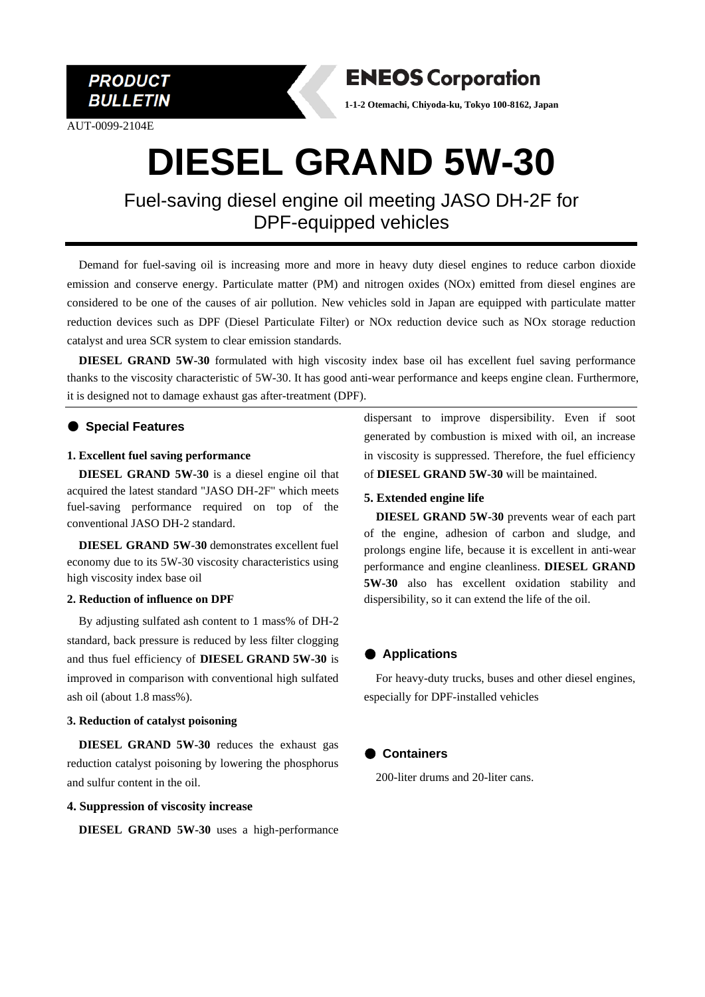

AUT-0099-2104E



**1-1-2 Otemachi, Chiyoda-ku, Tokyo 100-8162, Japan**

## **DIESEL GRAND 5W-30**

Fuel-saving diesel engine oil meeting JASO DH-2F for DPF-equipped vehicles

Demand for fuel-saving oil is increasing more and more in heavy duty diesel engines to reduce carbon dioxide emission and conserve energy. Particulate matter (PM) and nitrogen oxides (NOx) emitted from diesel engines are considered to be one of the causes of air pollution. New vehicles sold in Japan are equipped with particulate matter reduction devices such as DPF (Diesel Particulate Filter) or NOx reduction device such as NOx storage reduction catalyst and urea SCR system to clear emission standards.

**DIESEL GRAND 5W-30** formulated with high viscosity index base oil has excellent fuel saving performance thanks to the viscosity characteristic of 5W-30. It has good anti-wear performance and keeps engine clean. Furthermore, it is designed not to damage exhaust gas after-treatment (DPF).

#### ● **Special Features**

#### **1. Excellent fuel saving performance**

**DIESEL GRAND 5W-30** is a diesel engine oil that acquired the latest standard "JASO DH-2F" which meets fuel-saving performance required on top of the conventional JASO DH-2 standard.

**DIESEL GRAND 5W-30** demonstrates excellent fuel economy due to its 5W-30 viscosity characteristics using high viscosity index base oil

#### **2. Reduction of influence on DPF**

By adjusting sulfated ash content to 1 mass% of DH-2 standard, back pressure is reduced by less filter clogging and thus fuel efficiency of **DIESEL GRAND 5W-30** is improved in comparison with conventional high sulfated ash oil (about 1.8 mass%).

#### **3. Reduction of catalyst poisoning**

**DIESEL GRAND 5W-30** reduces the exhaust gas reduction catalyst poisoning by lowering the phosphorus and sulfur content in the oil.

#### **4. Suppression of viscosity increase**

**DIESEL GRAND 5W-30** uses a high-performance

dispersant to improve dispersibility. Even if soot generated by combustion is mixed with oil, an increase in viscosity is suppressed. Therefore, the fuel efficiency of **DIESEL GRAND 5W-30** will be maintained.

#### **5. Extended engine life**

 **DIESEL GRAND 5W-30** prevents wear of each part of the engine, adhesion of carbon and sludge, and prolongs engine life, because it is excellent in anti-wear performance and engine cleanliness. **DIESEL GRAND 5W-30** also has excellent oxidation stability and dispersibility, so it can extend the life of the oil.

#### ● **Applications**

For heavy-duty trucks, buses and other diesel engines, especially for DPF-installed vehicles

#### ● **Containers**

200-liter drums and 20-liter cans.